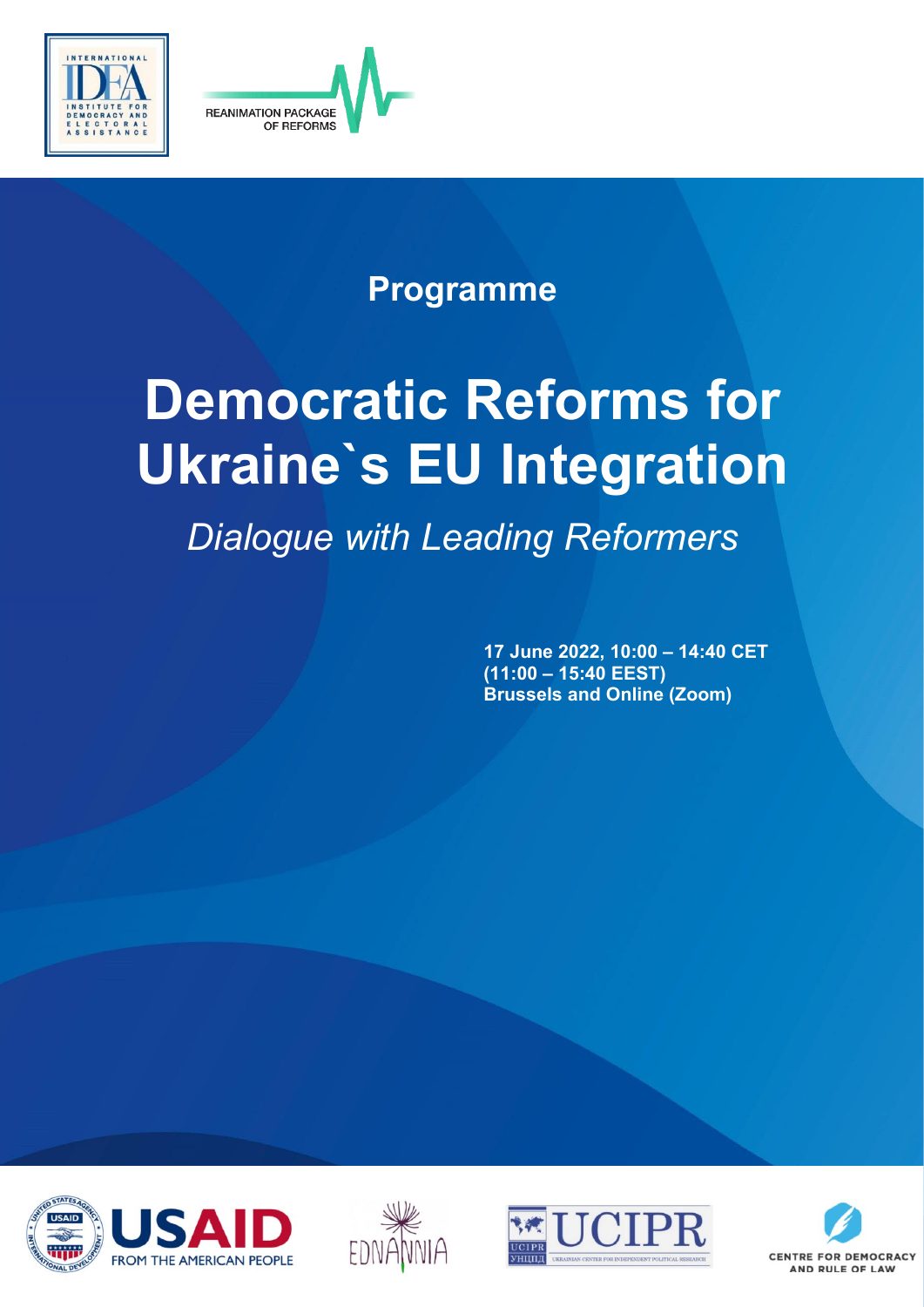



## **Programme**

# **Democratic Reforms for Ukraine`s EU Integration**

*Dialogue with Leading Reformers*

**17 June 2022, 10:00 – 14:40 CET (11:00 – 15:40 EEST) Brussels and Online (Zoom)**







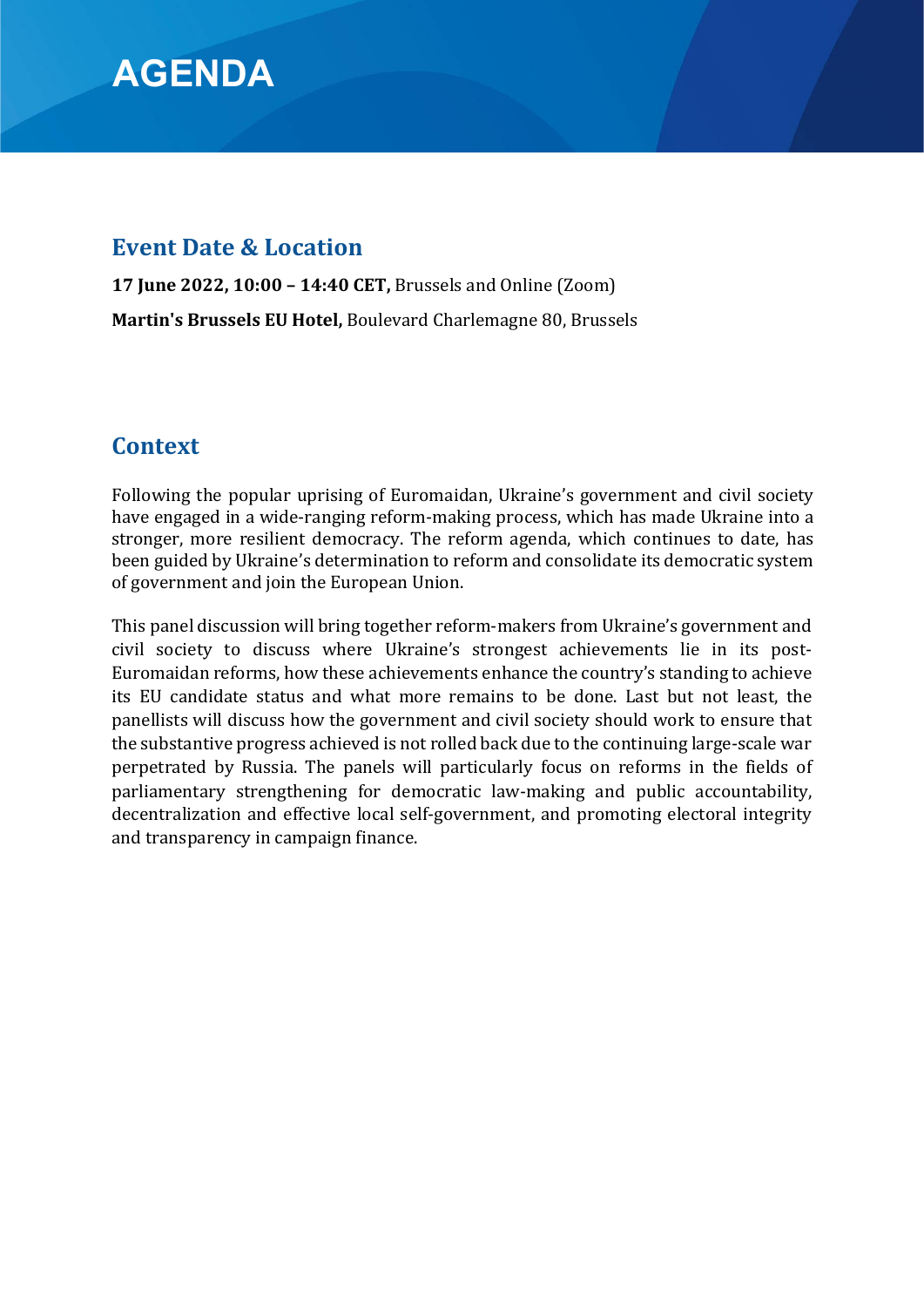## **AGENDA**

#### **Event Date & Location**

**17 June 2022, 10:00 – 14:40 CET,** Brussels and Online (Zoom) **Martin's Brussels EU Hotel,** Boulevard Charlemagne 80, Brussels

### **Context**

Following the popular uprising of Euromaidan, Ukraine's government and civil society have engaged in a wide-ranging reform-making process, which has made Ukraine into a stronger, more resilient democracy. The reform agenda, which continues to date, has been guided by Ukraine's determination to reform and consolidate its democratic system of government and join the European Union.

This panel discussion will bring together reform-makers from Ukraine's government and civil society to discuss where Ukraine's strongest achievements lie in its post-Euromaidan reforms, how these achievements enhance the country's standing to achieve its EU candidate status and what more remains to be done. Last but not least, the panellists will discuss how the government and civil society should work to ensure that the substantive progress achieved is not rolled back due to the continuing large-scale war perpetrated by Russia. The panels will particularly focus on reforms in the fields of parliamentary strengthening for democratic law-making and public accountability, decentralization and effective local self-government, and promoting electoral integrity and transparency in campaign finance.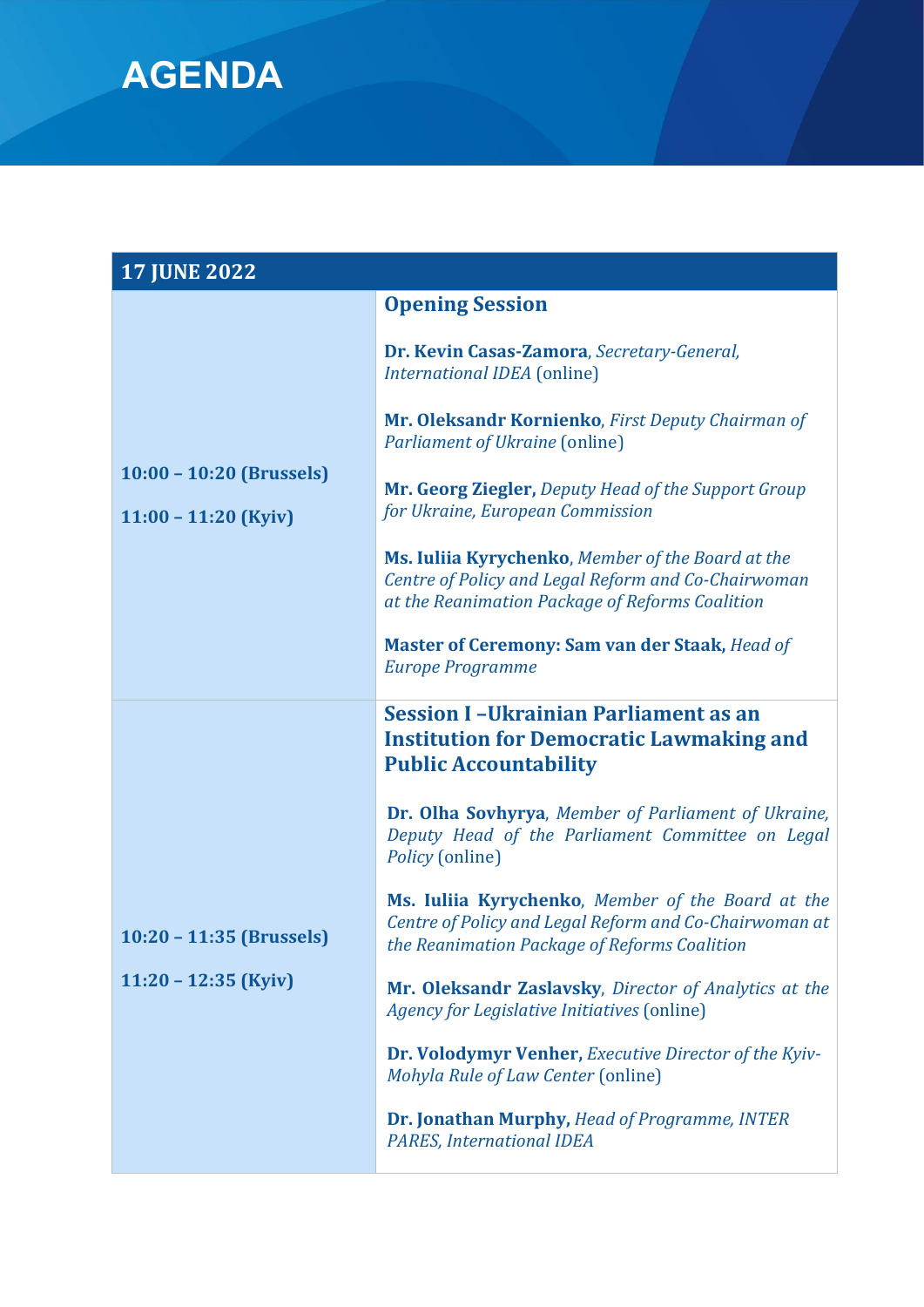

| <b>17 JUNE 2022</b>                                  |                                                                                                                                                             |
|------------------------------------------------------|-------------------------------------------------------------------------------------------------------------------------------------------------------------|
|                                                      | <b>Opening Session</b>                                                                                                                                      |
| $10:00 - 10:20$ (Brussels)<br>$11:00 - 11:20$ (Kyiv) | Dr. Kevin Casas-Zamora, Secretary-General,<br><b>International IDEA</b> (online)                                                                            |
|                                                      | Mr. Oleksandr Kornienko, First Deputy Chairman of<br>Parliament of Ukraine (online)                                                                         |
|                                                      | Mr. Georg Ziegler, Deputy Head of the Support Group<br>for Ukraine, European Commission                                                                     |
|                                                      | Ms. Iuliia Kyrychenko, Member of the Board at the<br>Centre of Policy and Legal Reform and Co-Chairwoman<br>at the Reanimation Package of Reforms Coalition |
|                                                      | <b>Master of Ceremony: Sam van der Staak, Head of</b><br><b>Europe Programme</b>                                                                            |
|                                                      | <b>Session I-Ukrainian Parliament as an</b>                                                                                                                 |
|                                                      | <b>Institution for Democratic Lawmaking and</b><br><b>Public Accountability</b>                                                                             |
| $10:20 - 11:35$ (Brussels)<br>$11:20 - 12:35$ (Kyiv) | Dr. Olha Sovhyrya, Member of Parliament of Ukraine,<br>Deputy Head of the Parliament Committee on Legal<br>Policy (online)                                  |
|                                                      | Ms. Iuliia Kyrychenko, Member of the Board at the<br>Centre of Policy and Legal Reform and Co-Chairwoman at<br>the Reanimation Package of Reforms Coalition |
|                                                      | Mr. Oleksandr Zaslavsky, Director of Analytics at the<br><b>Agency for Legislative Initiatives (online)</b>                                                 |
|                                                      | <b>Dr. Volodymyr Venher, Executive Director of the Kyiv-</b><br>Mohyla Rule of Law Center (online)                                                          |
|                                                      | Dr. Jonathan Murphy, Head of Programme, INTER<br><b>PARES, International IDEA</b>                                                                           |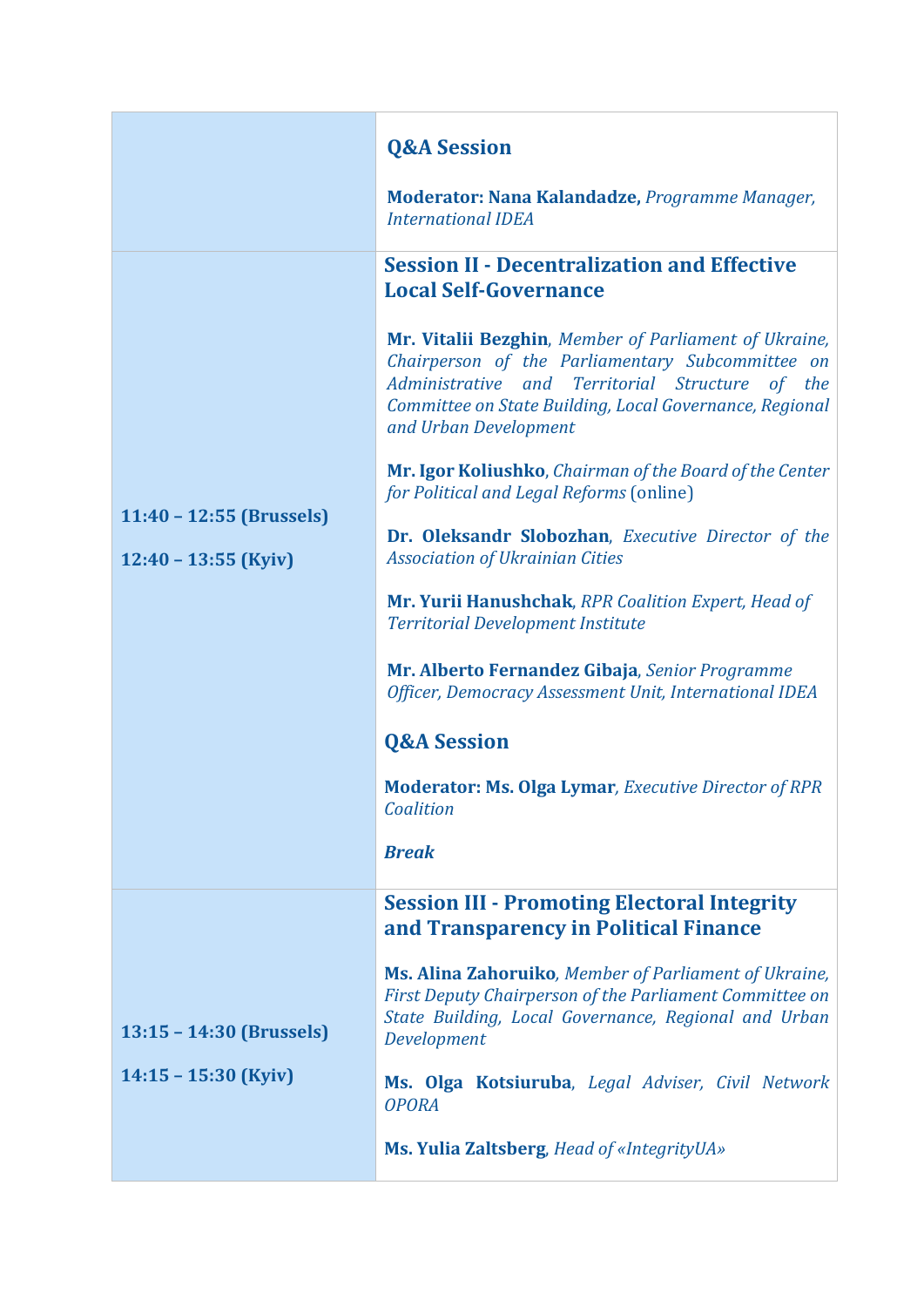|                                                      | <b>Q&amp;A Session</b>                                                                                                                                                                                                                           |
|------------------------------------------------------|--------------------------------------------------------------------------------------------------------------------------------------------------------------------------------------------------------------------------------------------------|
|                                                      | Moderator: Nana Kalandadze, Programme Manager,<br><b>International IDEA</b>                                                                                                                                                                      |
| $11:40 - 12:55$ (Brussels)<br>$12:40 - 13:55$ (Kyiv) | <b>Session II - Decentralization and Effective</b><br><b>Local Self-Governance</b>                                                                                                                                                               |
|                                                      | Mr. Vitalii Bezghin, Member of Parliament of Ukraine,<br>Chairperson of the Parliamentary Subcommittee on<br>Administrative and Territorial Structure of the<br>Committee on State Building, Local Governance, Regional<br>and Urban Development |
|                                                      | Mr. Igor Koliushko, Chairman of the Board of the Center<br>for Political and Legal Reforms (online)                                                                                                                                              |
|                                                      | Dr. Oleksandr Slobozhan, Executive Director of the<br><b>Association of Ukrainian Cities</b>                                                                                                                                                     |
|                                                      | Mr. Yurii Hanushchak, RPR Coalition Expert, Head of<br><b>Territorial Development Institute</b>                                                                                                                                                  |
|                                                      | Mr. Alberto Fernandez Gibaja, Senior Programme<br>Officer, Democracy Assessment Unit, International IDEA                                                                                                                                         |
|                                                      | <b>Q&amp;A Session</b>                                                                                                                                                                                                                           |
|                                                      | <b>Moderator: Ms. Olga Lymar</b> , Executive Director of RPR<br>Coalition                                                                                                                                                                        |
|                                                      | <b>Break</b>                                                                                                                                                                                                                                     |
| 13:15 - 14:30 (Brussels)<br>$14:15 - 15:30$ (Kyiv)   | <b>Session III - Promoting Electoral Integrity</b><br>and Transparency in Political Finance                                                                                                                                                      |
|                                                      | Ms. Alina Zahoruiko, Member of Parliament of Ukraine,<br>First Deputy Chairperson of the Parliament Committee on<br>State Building, Local Governance, Regional and Urban<br>Development                                                          |
|                                                      | Ms. Olga Kotsiuruba, Legal Adviser, Civil Network<br><b>OPORA</b>                                                                                                                                                                                |
|                                                      | Ms. Yulia Zaltsberg, Head of «IntegrityUA»                                                                                                                                                                                                       |